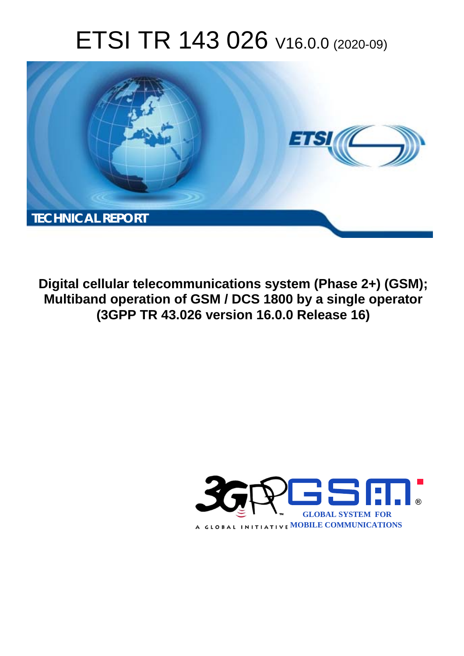# ETSI TR 143 026 V16.0.0 (2020-09)



**Digital cellular telecommunications system (Phase 2+) (GSM); Multiband operation of GSM / DCS 1800 by a single operator (3GPP TR 43.026 version 16.0.0 Release 16)** 

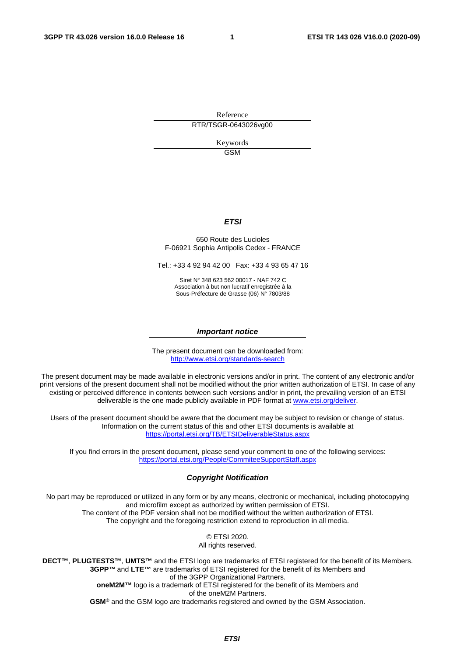Reference RTR/TSGR-0643026vg00

> Keywords GSM

#### *ETSI*

#### 650 Route des Lucioles F-06921 Sophia Antipolis Cedex - FRANCE

Tel.: +33 4 92 94 42 00 Fax: +33 4 93 65 47 16

Siret N° 348 623 562 00017 - NAF 742 C Association à but non lucratif enregistrée à la Sous-Préfecture de Grasse (06) N° 7803/88

#### *Important notice*

The present document can be downloaded from: <http://www.etsi.org/standards-search>

The present document may be made available in electronic versions and/or in print. The content of any electronic and/or print versions of the present document shall not be modified without the prior written authorization of ETSI. In case of any existing or perceived difference in contents between such versions and/or in print, the prevailing version of an ETSI deliverable is the one made publicly available in PDF format at [www.etsi.org/deliver](http://www.etsi.org/deliver).

Users of the present document should be aware that the document may be subject to revision or change of status. Information on the current status of this and other ETSI documents is available at <https://portal.etsi.org/TB/ETSIDeliverableStatus.aspx>

If you find errors in the present document, please send your comment to one of the following services: <https://portal.etsi.org/People/CommiteeSupportStaff.aspx>

#### *Copyright Notification*

No part may be reproduced or utilized in any form or by any means, electronic or mechanical, including photocopying and microfilm except as authorized by written permission of ETSI. The content of the PDF version shall not be modified without the written authorization of ETSI. The copyright and the foregoing restriction extend to reproduction in all media.

> © ETSI 2020. All rights reserved.

**DECT™**, **PLUGTESTS™**, **UMTS™** and the ETSI logo are trademarks of ETSI registered for the benefit of its Members. **3GPP™** and **LTE™** are trademarks of ETSI registered for the benefit of its Members and of the 3GPP Organizational Partners. **oneM2M™** logo is a trademark of ETSI registered for the benefit of its Members and of the oneM2M Partners. **GSM®** and the GSM logo are trademarks registered and owned by the GSM Association.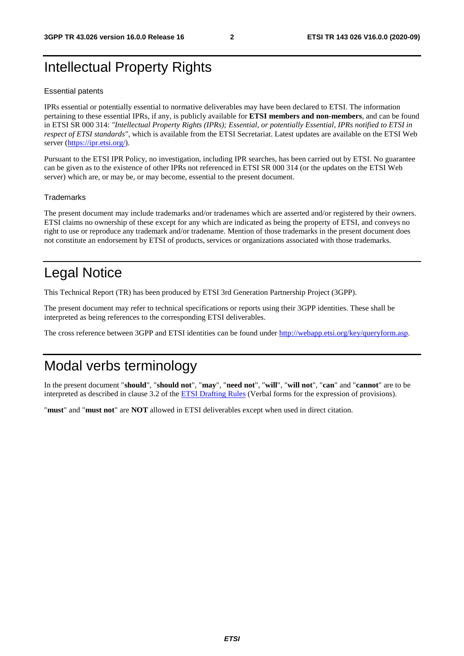# Intellectual Property Rights

#### Essential patents

IPRs essential or potentially essential to normative deliverables may have been declared to ETSI. The information pertaining to these essential IPRs, if any, is publicly available for **ETSI members and non-members**, and can be found in ETSI SR 000 314: *"Intellectual Property Rights (IPRs); Essential, or potentially Essential, IPRs notified to ETSI in respect of ETSI standards"*, which is available from the ETSI Secretariat. Latest updates are available on the ETSI Web server [\(https://ipr.etsi.org/](https://ipr.etsi.org/)).

Pursuant to the ETSI IPR Policy, no investigation, including IPR searches, has been carried out by ETSI. No guarantee can be given as to the existence of other IPRs not referenced in ETSI SR 000 314 (or the updates on the ETSI Web server) which are, or may be, or may become, essential to the present document.

#### **Trademarks**

The present document may include trademarks and/or tradenames which are asserted and/or registered by their owners. ETSI claims no ownership of these except for any which are indicated as being the property of ETSI, and conveys no right to use or reproduce any trademark and/or tradename. Mention of those trademarks in the present document does not constitute an endorsement by ETSI of products, services or organizations associated with those trademarks.

# Legal Notice

This Technical Report (TR) has been produced by ETSI 3rd Generation Partnership Project (3GPP).

The present document may refer to technical specifications or reports using their 3GPP identities. These shall be interpreted as being references to the corresponding ETSI deliverables.

The cross reference between 3GPP and ETSI identities can be found under<http://webapp.etsi.org/key/queryform.asp>.

## Modal verbs terminology

In the present document "**should**", "**should not**", "**may**", "**need not**", "**will**", "**will not**", "**can**" and "**cannot**" are to be interpreted as described in clause 3.2 of the [ETSI Drafting Rules](https://portal.etsi.org/Services/editHelp!/Howtostart/ETSIDraftingRules.aspx) (Verbal forms for the expression of provisions).

"**must**" and "**must not**" are **NOT** allowed in ETSI deliverables except when used in direct citation.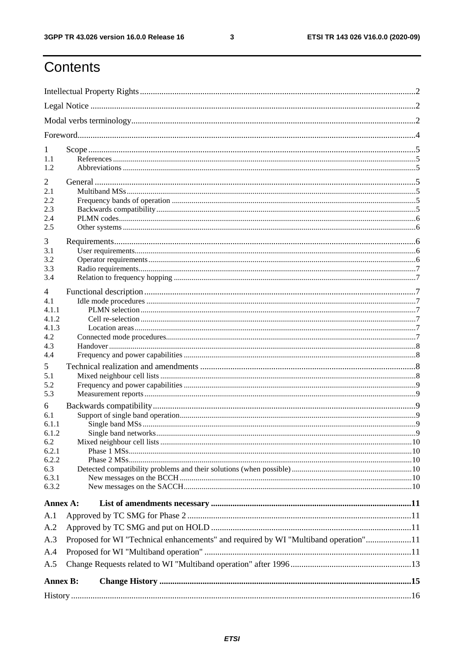$\mathbf{3}$ 

# Contents

| 1               |                                                                                     |  |  |  |  |  |
|-----------------|-------------------------------------------------------------------------------------|--|--|--|--|--|
| 1.1             |                                                                                     |  |  |  |  |  |
| 1.2             |                                                                                     |  |  |  |  |  |
| 2               |                                                                                     |  |  |  |  |  |
| 2.1             |                                                                                     |  |  |  |  |  |
| 2.2<br>2.3      |                                                                                     |  |  |  |  |  |
| 2.4             |                                                                                     |  |  |  |  |  |
| 2.5             |                                                                                     |  |  |  |  |  |
| 3               |                                                                                     |  |  |  |  |  |
| 3.1             |                                                                                     |  |  |  |  |  |
| 3.2             |                                                                                     |  |  |  |  |  |
| 3.3             |                                                                                     |  |  |  |  |  |
| 3.4             |                                                                                     |  |  |  |  |  |
| 4               |                                                                                     |  |  |  |  |  |
| 4.1             |                                                                                     |  |  |  |  |  |
| 4.1.1           |                                                                                     |  |  |  |  |  |
| 4.1.2           |                                                                                     |  |  |  |  |  |
| 4.1.3<br>4.2    |                                                                                     |  |  |  |  |  |
| 4.3             |                                                                                     |  |  |  |  |  |
| 4.4             |                                                                                     |  |  |  |  |  |
| 5.              |                                                                                     |  |  |  |  |  |
| 5.1             |                                                                                     |  |  |  |  |  |
| 5.2             |                                                                                     |  |  |  |  |  |
| 5.3             |                                                                                     |  |  |  |  |  |
| 6               |                                                                                     |  |  |  |  |  |
| 6.1             |                                                                                     |  |  |  |  |  |
| 6.1.1           |                                                                                     |  |  |  |  |  |
| 6.1.2<br>6.2    |                                                                                     |  |  |  |  |  |
| 6.2.1           |                                                                                     |  |  |  |  |  |
| 6.2.2           |                                                                                     |  |  |  |  |  |
| 6.3             |                                                                                     |  |  |  |  |  |
| 6.3.1           |                                                                                     |  |  |  |  |  |
| 6.3.2           |                                                                                     |  |  |  |  |  |
| Annex A:        |                                                                                     |  |  |  |  |  |
| A.1             |                                                                                     |  |  |  |  |  |
| A.2             |                                                                                     |  |  |  |  |  |
| A.3             | Proposed for WI "Technical enhancements" and required by WI "Multiband operation"11 |  |  |  |  |  |
| A.4             |                                                                                     |  |  |  |  |  |
| A.5             |                                                                                     |  |  |  |  |  |
|                 |                                                                                     |  |  |  |  |  |
| <b>Annex B:</b> |                                                                                     |  |  |  |  |  |
|                 |                                                                                     |  |  |  |  |  |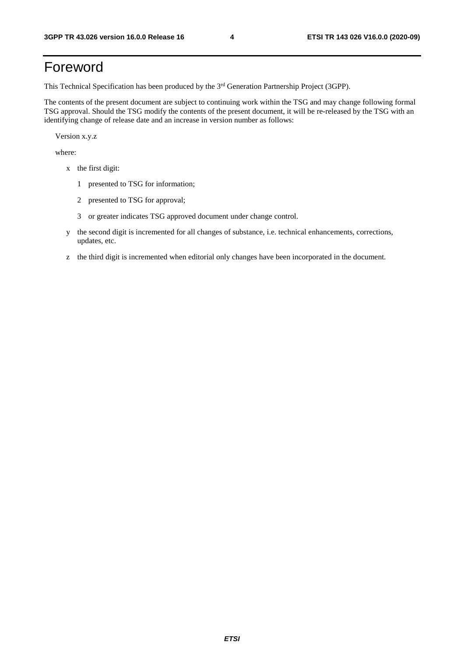# Foreword

This Technical Specification has been produced by the 3<sup>rd</sup> Generation Partnership Project (3GPP).

The contents of the present document are subject to continuing work within the TSG and may change following formal TSG approval. Should the TSG modify the contents of the present document, it will be re-released by the TSG with an identifying change of release date and an increase in version number as follows:

Version x.y.z

where:

- x the first digit:
	- 1 presented to TSG for information;
	- 2 presented to TSG for approval;
	- 3 or greater indicates TSG approved document under change control.
- y the second digit is incremented for all changes of substance, i.e. technical enhancements, corrections, updates, etc.
- z the third digit is incremented when editorial only changes have been incorporated in the document.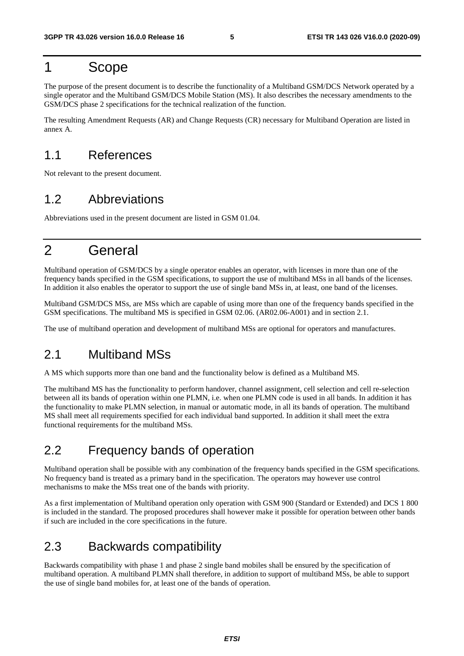### 1 Scope

The purpose of the present document is to describe the functionality of a Multiband GSM/DCS Network operated by a single operator and the Multiband GSM/DCS Mobile Station (MS). It also describes the necessary amendments to the GSM/DCS phase 2 specifications for the technical realization of the function.

The resulting Amendment Requests (AR) and Change Requests (CR) necessary for Multiband Operation are listed in annex A.

### 1.1 References

Not relevant to the present document.

### 1.2 Abbreviations

Abbreviations used in the present document are listed in GSM 01.04.

# 2 General

Multiband operation of GSM/DCS by a single operator enables an operator, with licenses in more than one of the frequency bands specified in the GSM specifications, to support the use of multiband MSs in all bands of the licenses. In addition it also enables the operator to support the use of single band MSs in, at least, one band of the licenses.

Multiband GSM/DCS MSs, are MSs which are capable of using more than one of the frequency bands specified in the GSM specifications. The multiband MS is specified in GSM 02.06. (AR02.06-A001) and in section 2.1.

The use of multiband operation and development of multiband MSs are optional for operators and manufactures.

### 2.1 Multiband MSs

A MS which supports more than one band and the functionality below is defined as a Multiband MS.

The multiband MS has the functionality to perform handover, channel assignment, cell selection and cell re-selection between all its bands of operation within one PLMN, i.e. when one PLMN code is used in all bands. In addition it has the functionality to make PLMN selection, in manual or automatic mode, in all its bands of operation. The multiband MS shall meet all requirements specified for each individual band supported. In addition it shall meet the extra functional requirements for the multiband MSs.

### 2.2 Frequency bands of operation

Multiband operation shall be possible with any combination of the frequency bands specified in the GSM specifications. No frequency band is treated as a primary band in the specification. The operators may however use control mechanisms to make the MSs treat one of the bands with priority.

As a first implementation of Multiband operation only operation with GSM 900 (Standard or Extended) and DCS 1 800 is included in the standard. The proposed procedures shall however make it possible for operation between other bands if such are included in the core specifications in the future.

### 2.3 Backwards compatibility

Backwards compatibility with phase 1 and phase 2 single band mobiles shall be ensured by the specification of multiband operation. A multiband PLMN shall therefore, in addition to support of multiband MSs, be able to support the use of single band mobiles for, at least one of the bands of operation.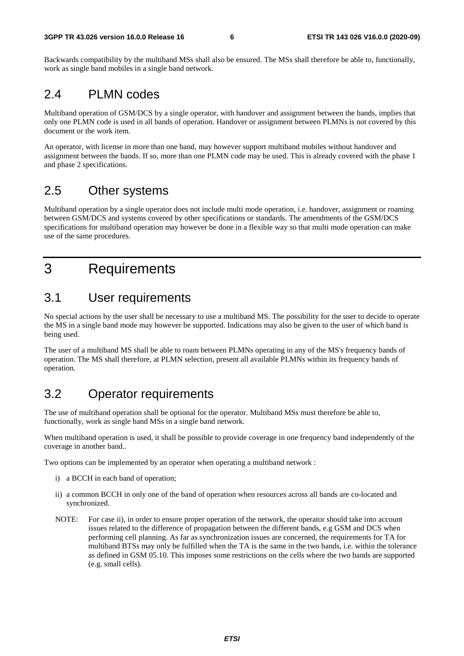Backwards compatibility by the multiband MSs shall also be ensured. The MSs shall therefore be able to, functionally, work as single band mobiles in a single band network.

### 2.4 PLMN codes

Multiband operation of GSM/DCS by a single operator, with handover and assignment between the bands, implies that only one PLMN code is used in all bands of operation. Handover or assignment between PLMNs is not covered by this document or the work item.

An operator, with license in more than one band, may however support multiband mobiles without handover and assignment between the bands. If so, more than one PLMN code may be used. This is already covered with the phase 1 and phase 2 specifications.

### 2.5 Other systems

Multiband operation by a single operator does not include multi mode operation, i.e. handover, assignment or roaming between GSM/DCS and systems covered by other specifications or standards. The amendments of the GSM/DCS specifications for multiband operation may however be done in a flexible way so that multi mode operation can make use of the same procedures.

# 3 Requirements

### 3.1 User requirements

No special actions by the user shall be necessary to use a multiband MS. The possibility for the user to decide to operate the MS in a single band mode may however be supported. Indications may also be given to the user of which band is being used.

The user of a multiband MS shall be able to roam between PLMNs operating in any of the MS's frequency bands of operation. The MS shall therefore, at PLMN selection, present all available PLMNs within its frequency bands of operation.

### 3.2 Operator requirements

The use of multiband operation shall be optional for the operator. Multiband MSs must therefore be able to, functionally, work as single band MSs in a single band network.

When multiband operation is used, it shall be possible to provide coverage in one frequency band independently of the coverage in another band..

Two options can be implemented by an operator when operating a multiband network :

- i) a BCCH in each band of operation;
- ii) a common BCCH in only one of the band of operation when resources across all bands are co-located and synchronized.
- NOTE: For case ii), in order to ensure proper operation of the network, the operator should take into account issues related to the difference of propagation between the different bands, e.g GSM and DCS when performing cell planning. As far as synchronization issues are concerned, the requirements for TA for multiband BTSs may only be fulfilled when the TA is the same in the two bands, i.e. within the tolerance as defined in GSM 05.10. This imposes some restrictions on the cells where the two bands are supported (e.g. small cells).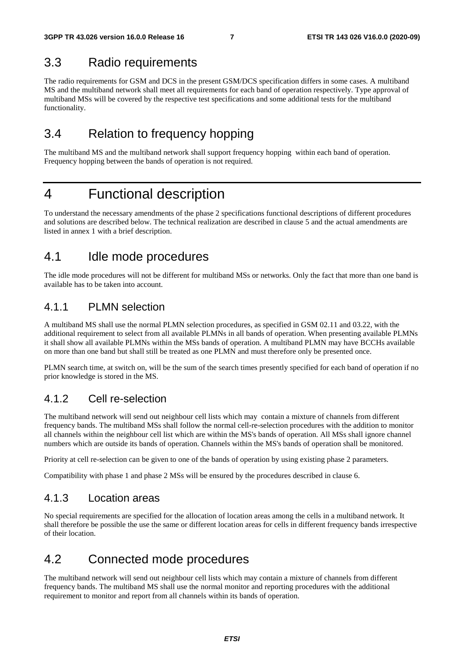### 3.3 Radio requirements

The radio requirements for GSM and DCS in the present GSM/DCS specification differs in some cases. A multiband MS and the multiband network shall meet all requirements for each band of operation respectively. Type approval of multiband MSs will be covered by the respective test specifications and some additional tests for the multiband functionality.

### 3.4 Relation to frequency hopping

The multiband MS and the multiband network shall support frequency hopping within each band of operation. Frequency hopping between the bands of operation is not required.

### 4 Functional description

To understand the necessary amendments of the phase 2 specifications functional descriptions of different procedures and solutions are described below. The technical realization are described in clause 5 and the actual amendments are listed in annex 1 with a brief description.

### 4.1 Idle mode procedures

The idle mode procedures will not be different for multiband MSs or networks. Only the fact that more than one band is available has to be taken into account.

### 4.1.1 PLMN selection

A multiband MS shall use the normal PLMN selection procedures, as specified in GSM 02.11 and 03.22, with the additional requirement to select from all available PLMNs in all bands of operation. When presenting available PLMNs it shall show all available PLMNs within the MSs bands of operation. A multiband PLMN may have BCCHs available on more than one band but shall still be treated as one PLMN and must therefore only be presented once.

PLMN search time, at switch on, will be the sum of the search times presently specified for each band of operation if no prior knowledge is stored in the MS.

### 4.1.2 Cell re-selection

The multiband network will send out neighbour cell lists which may contain a mixture of channels from different frequency bands. The multiband MSs shall follow the normal cell-re-selection procedures with the addition to monitor all channels within the neighbour cell list which are within the MS's bands of operation. All MSs shall ignore channel numbers which are outside its bands of operation. Channels within the MS's bands of operation shall be monitored.

Priority at cell re-selection can be given to one of the bands of operation by using existing phase 2 parameters.

Compatibility with phase 1 and phase 2 MSs will be ensured by the procedures described in clause 6.

### 4.1.3 Location areas

No special requirements are specified for the allocation of location areas among the cells in a multiband network. It shall therefore be possible the use the same or different location areas for cells in different frequency bands irrespective of their location.

### 4.2 Connected mode procedures

The multiband network will send out neighbour cell lists which may contain a mixture of channels from different frequency bands. The multiband MS shall use the normal monitor and reporting procedures with the additional requirement to monitor and report from all channels within its bands of operation.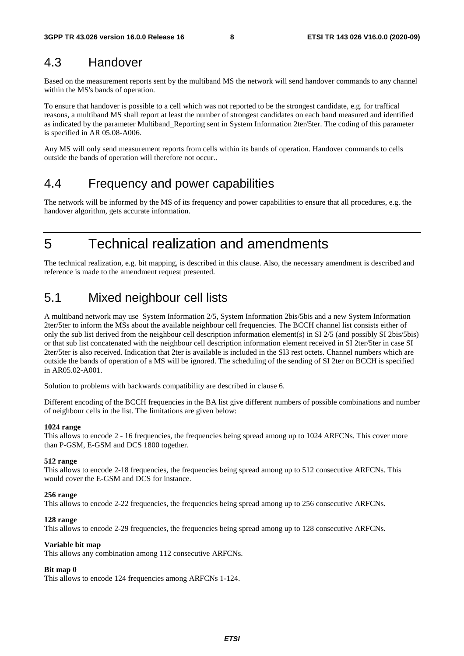### 4.3 Handover

Based on the measurement reports sent by the multiband MS the network will send handover commands to any channel within the MS's bands of operation.

To ensure that handover is possible to a cell which was not reported to be the strongest candidate, e.g. for traffical reasons, a multiband MS shall report at least the number of strongest candidates on each band measured and identified as indicated by the parameter Multiband\_Reporting sent in System Information 2ter/5ter. The coding of this parameter is specified in AR 05.08-A006.

Any MS will only send measurement reports from cells within its bands of operation. Handover commands to cells outside the bands of operation will therefore not occur..

### 4.4 Frequency and power capabilities

The network will be informed by the MS of its frequency and power capabilities to ensure that all procedures, e.g. the handover algorithm, gets accurate information.

5 Technical realization and amendments

The technical realization, e.g. bit mapping, is described in this clause. Also, the necessary amendment is described and reference is made to the amendment request presented.

### 5.1 Mixed neighbour cell lists

A multiband network may use System Information 2/5, System Information 2bis/5bis and a new System Information 2ter/5ter to inform the MSs about the available neighbour cell frequencies. The BCCH channel list consists either of only the sub list derived from the neighbour cell description information element(s) in SI 2/5 (and possibly SI 2bis/5bis) or that sub list concatenated with the neighbour cell description information element received in SI 2ter/5ter in case SI 2ter/5ter is also received. Indication that 2ter is available is included in the SI3 rest octets. Channel numbers which are outside the bands of operation of a MS will be ignored. The scheduling of the sending of SI 2ter on BCCH is specified in AR05.02-A001.

Solution to problems with backwards compatibility are described in clause 6.

Different encoding of the BCCH frequencies in the BA list give different numbers of possible combinations and number of neighbour cells in the list. The limitations are given below:

#### **1024 range**

This allows to encode 2 - 16 frequencies, the frequencies being spread among up to 1024 ARFCNs. This cover more than P-GSM, E-GSM and DCS 1800 together.

#### **512 range**

This allows to encode 2-18 frequencies, the frequencies being spread among up to 512 consecutive ARFCNs. This would cover the E-GSM and DCS for instance.

#### **256 range**

This allows to encode 2-22 frequencies, the frequencies being spread among up to 256 consecutive ARFCNs.

#### **128 range**

This allows to encode 2-29 frequencies, the frequencies being spread among up to 128 consecutive ARFCNs.

#### **Variable bit map**

This allows any combination among 112 consecutive ARFCNs.

#### **Bit map 0**

This allows to encode 124 frequencies among ARFCNs 1-124.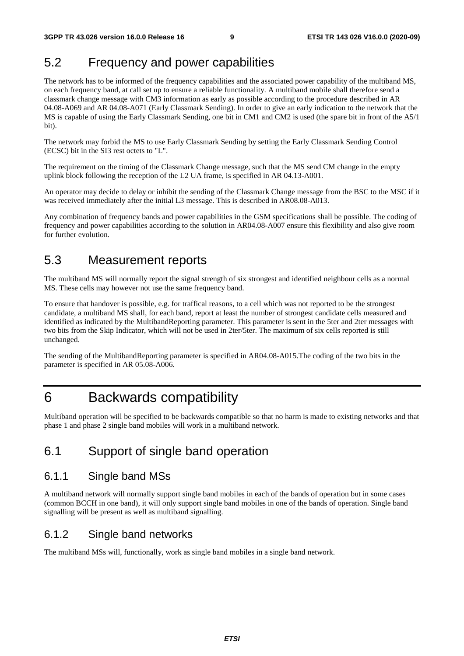### 5.2 Frequency and power capabilities

The network has to be informed of the frequency capabilities and the associated power capability of the multiband MS, on each frequency band, at call set up to ensure a reliable functionality. A multiband mobile shall therefore send a classmark change message with CM3 information as early as possible according to the procedure described in AR 04.08-A069 and AR 04.08-A071 (Early Classmark Sending)*.* In order to give an early indication to the network that the MS is capable of using the Early Classmark Sending, one bit in CM1 and CM2 is used (the spare bit in front of the A5/1 bit).

The network may forbid the MS to use Early Classmark Sending by setting the Early Classmark Sending Control (ECSC) bit in the SI3 rest octets to "L".

The requirement on the timing of the Classmark Change message, such that the MS send CM change in the empty uplink block following the reception of the L2 UA frame, is specified in AR 04.13-A001.

An operator may decide to delay or inhibit the sending of the Classmark Change message from the BSC to the MSC if it was received immediately after the initial L3 message. This is described in AR08.08-A013.

Any combination of frequency bands and power capabilities in the GSM specifications shall be possible. The coding of frequency and power capabilities according to the solution in AR04.08-A007 ensure this flexibility and also give room for further evolution.

### 5.3 Measurement reports

The multiband MS will normally report the signal strength of six strongest and identified neighbour cells as a normal MS. These cells may however not use the same frequency band.

To ensure that handover is possible, e.g. for traffical reasons, to a cell which was not reported to be the strongest candidate, a multiband MS shall, for each band, report at least the number of strongest candidate cells measured and identified as indicated by the MultibandReporting parameter. This parameter is sent in the 5ter and 2ter messages with two bits from the Skip Indicator, which will not be used in 2ter/5ter. The maximum of six cells reported is still unchanged.

The sending of the MultibandReporting parameter is specified in AR04.08-A015.The coding of the two bits in the parameter is specified in AR 05.08-A006.

### 6 Backwards compatibility

Multiband operation will be specified to be backwards compatible so that no harm is made to existing networks and that phase 1 and phase 2 single band mobiles will work in a multiband network.

### 6.1 Support of single band operation

### 6.1.1 Single band MSs

A multiband network will normally support single band mobiles in each of the bands of operation but in some cases (common BCCH in one band), it will only support single band mobiles in one of the bands of operation. Single band signalling will be present as well as multiband signalling.

### 6.1.2 Single band networks

The multiband MSs will, functionally, work as single band mobiles in a single band network.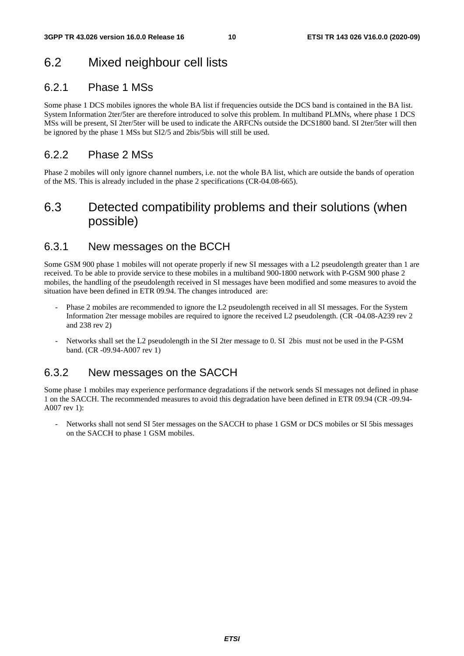### 6.2 Mixed neighbour cell lists

### 6.2.1 Phase 1 MSs

Some phase 1 DCS mobiles ignores the whole BA list if frequencies outside the DCS band is contained in the BA list. System Information 2ter/5ter are therefore introduced to solve this problem. In multiband PLMNs, where phase 1 DCS MSs will be present, SI 2ter/5ter will be used to indicate the ARFCNs outside the DCS1800 band. SI 2ter/5ter will then be ignored by the phase 1 MSs but SI2/5 and 2bis/5bis will still be used.

### 6.2.2 Phase 2 MSs

Phase 2 mobiles will only ignore channel numbers, i.e. not the whole BA list, which are outside the bands of operation of the MS. This is already included in the phase 2 specifications (CR-04.08-665).

### 6.3 Detected compatibility problems and their solutions (when possible)

### 6.3.1 New messages on the BCCH

Some GSM 900 phase 1 mobiles will not operate properly if new SI messages with a L2 pseudolength greater than 1 are received. To be able to provide service to these mobiles in a multiband 900-1800 network with P-GSM 900 phase 2 mobiles, the handling of the pseudolength received in SI messages have been modified and some measures to avoid the situation have been defined in ETR 09.94. The changes introduced are:

- Phase 2 mobiles are recommended to ignore the L2 pseudolength received in all SI messages. For the System Information 2ter message mobiles are required to ignore the received L2 pseudolength. (CR -04.08-A239 rev 2 and 238 rev 2)
- Networks shall set the L2 pseudolength in the SI 2ter message to 0. SI 2bis must not be used in the P-GSM band. (CR -09.94-A007 rev 1)

### 6.3.2 New messages on the SACCH

Some phase 1 mobiles may experience performance degradations if the network sends SI messages not defined in phase 1 on the SACCH. The recommended measures to avoid this degradation have been defined in ETR 09.94 (CR -09.94- A007 rev 1):

- Networks shall not send SI 5ter messages on the SACCH to phase 1 GSM or DCS mobiles or SI 5bis messages on the SACCH to phase 1 GSM mobiles.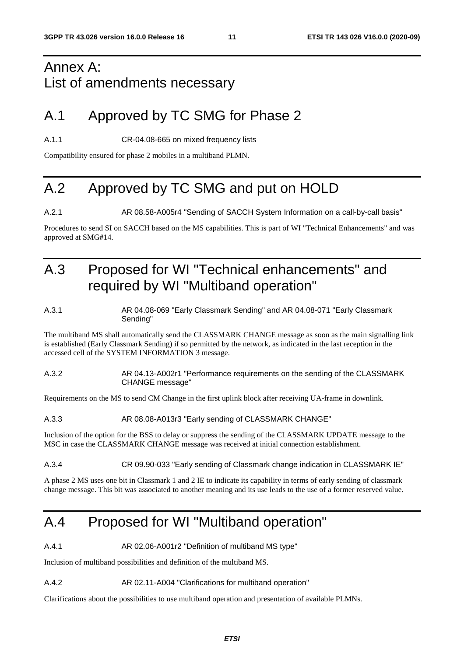# Annex A: List of amendments necessary

# A.1 Approved by TC SMG for Phase 2

A.1.1 CR-04.08-665 on mixed frequency lists

Compatibility ensured for phase 2 mobiles in a multiband PLMN.

# A.2 Approved by TC SMG and put on HOLD

A.2.1 AR 08.58-A005r4 "Sending of SACCH System Information on a call-by-call basis"

Procedures to send SI on SACCH based on the MS capabilities. This is part of WI "Technical Enhancements" and was approved at SMG#14.

# A.3 Proposed for WI "Technical enhancements" and required by WI "Multiband operation"

#### A.3.1 AR 04.08-069 "Early Classmark Sending" and AR 04.08-071 "Early Classmark Sending"

The multiband MS shall automatically send the CLASSMARK CHANGE message as soon as the main signalling link is established (Early Classmark Sending) if so permitted by the network, as indicated in the last reception in the accessed cell of the SYSTEM INFORMATION 3 message.

#### A.3.2 AR 04.13-A002r1 "Performance requirements on the sending of the CLASSMARK CHANGE message"

Requirements on the MS to send CM Change in the first uplink block after receiving UA-frame in downlink.

#### A.3.3 AR 08.08-A013r3 "Early sending of CLASSMARK CHANGE"

Inclusion of the option for the BSS to delay or suppress the sending of the CLASSMARK UPDATE message to the MSC in case the CLASSMARK CHANGE message was received at initial connection establishment.

#### A.3.4 CR 09.90-033 "Early sending of Classmark change indication in CLASSMARK IE"

A phase 2 MS uses one bit in Classmark 1 and 2 IE to indicate its capability in terms of early sending of classmark change message. This bit was associated to another meaning and its use leads to the use of a former reserved value.

# A.4 Proposed for WI "Multiband operation"

A.4.1 **AR 02.06-A001r2 "Definition of multiband MS type"** 

Inclusion of multiband possibilities and definition of the multiband MS.

#### A.4.2 AR 02.11-A004 "Clarifications for multiband operation"

Clarifications about the possibilities to use multiband operation and presentation of available PLMNs.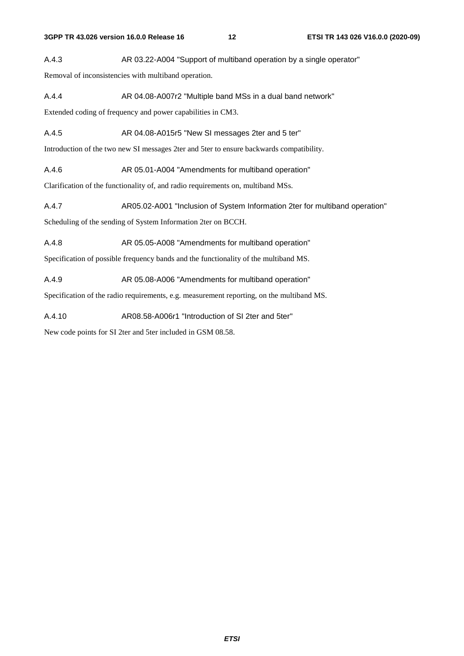A.4.3 AR 03.22-A004 "Support of multiband operation by a single operator"

Removal of inconsistencies with multiband operation.

A.4.4 AR 04.08-A007r2 "Multiple band MSs in a dual band network"

Extended coding of frequency and power capabilities in CM3.

A.4.5 AR 04.08-A015r5 "New SI messages 2ter and 5 ter"

Introduction of the two new SI messages 2ter and 5ter to ensure backwards compatibility.

A.4.6 AR 05.01-A004 "Amendments for multiband operation"

Clarification of the functionality of, and radio requirements on, multiband MSs.

A.4.7 AR05.02-A001 "Inclusion of System Information 2ter for multiband operation" Scheduling of the sending of System Information 2ter on BCCH.

A.4.8 AR 05.05-A008 "Amendments for multiband operation"

Specification of possible frequency bands and the functionality of the multiband MS.

A.4.9 AR 05.08-A006 "Amendments for multiband operation"

Specification of the radio requirements, e.g. measurement reporting, on the multiband MS.

A.4.10 AR08.58-A006r1 "Introduction of SI 2ter and 5ter"

New code points for SI 2ter and 5ter included in GSM 08.58.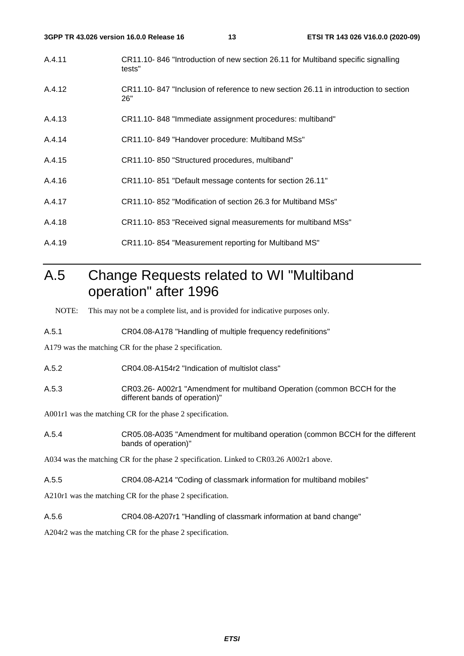| 3GPP TR 43.026 version 16.0.0 Release 16 |                                                              | 13 | ETSI TR 143 026 V16.0.0 (2020-09)                                                   |
|------------------------------------------|--------------------------------------------------------------|----|-------------------------------------------------------------------------------------|
| A.4.11                                   | tests"                                                       |    | CR11.10-846 "Introduction of new section 26.11 for Multiband specific signalling    |
| A.4.12                                   | 26"                                                          |    | CR11.10-847 "Inclusion of reference to new section 26.11 in introduction to section |
| A.4.13                                   | CR11.10-848 "Immediate assignment procedures: multiband"     |    |                                                                                     |
| A.4.14                                   | CR11.10-849 "Handover procedure: Multiband MSs"              |    |                                                                                     |
| A.4.15                                   | CR11.10-850 "Structured procedures, multiband"               |    |                                                                                     |
| A.4.16                                   | CR11.10-851 "Default message contents for section 26.11"     |    |                                                                                     |
| A.4.17                                   | CR11.10-852 "Modification of section 26.3 for Multiband MSs" |    |                                                                                     |
| A.4.18                                   | CR11.10-853 "Received signal measurements for multiband MSs" |    |                                                                                     |
|                                          |                                                              |    |                                                                                     |

A.4.19 CR11.10- 854 "Measurement reporting for Multiband MS"

# A.5 Change Requests related to WI "Multiband operation" after 1996

NOTE: This may not be a complete list, and is provided for indicative purposes only.

A.5.1 CR04.08-A178 "Handling of multiple frequency redefinitions"

A179 was the matching CR for the phase 2 specification.

A.5.2 CR04.08-A154r2 "Indication of multislot class"

A.5.3 CR03.26- A002r1 "Amendment for multiband Operation (common BCCH for the different bands of operation)"

A001r1 was the matching CR for the phase 2 specification.

A.5.4 CR05.08-A035 "Amendment for multiband operation (common BCCH for the different bands of operation)"

A034 was the matching CR for the phase 2 specification. Linked to CR03.26 A002r1 above.

A.5.5 CR04.08-A214 "Coding of classmark information for multiband mobiles"

A210r1 was the matching CR for the phase 2 specification.

A.5.6 CR04.08-A207r1 "Handling of classmark information at band change"

A204r2 was the matching CR for the phase 2 specification.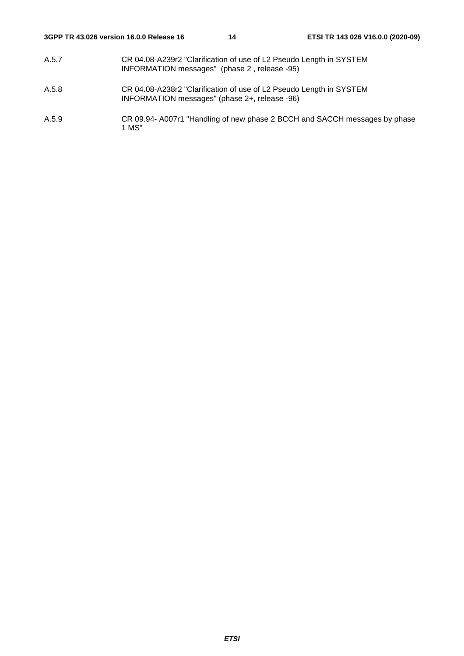- A.5.7 CR 04.08-A239r2 "Clarification of use of L2 Pseudo Length in SYSTEM INFORMATION messages" (phase 2 , release -95)
- A.5.8 CR 04.08-A238r2 "Clarification of use of L2 Pseudo Length in SYSTEM INFORMATION messages" (phase 2+, release -96)
- A.5.9 CR 09.94- A007r1 "Handling of new phase 2 BCCH and SACCH messages by phase 1 MS"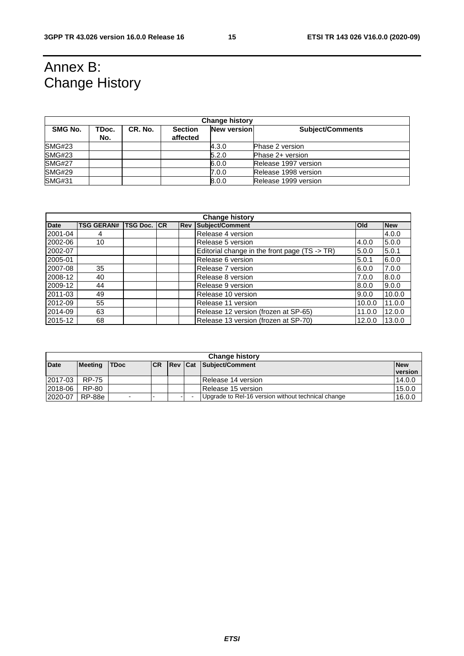# Annex B: Change History

| <b>Change history</b> |              |         |                            |                    |                         |  |
|-----------------------|--------------|---------|----------------------------|--------------------|-------------------------|--|
| SMG No.               | TDoc.<br>No. | CR. No. | <b>Section</b><br>affected | <b>New version</b> | <b>Subject/Comments</b> |  |
| SMG#23                |              |         |                            | 4.3.0              | <b>Phase 2 version</b>  |  |
| SMG#23                |              |         |                            | 5.2.0              | Phase 2+ version        |  |
| <b>SMG#27</b>         |              |         |                            | 6.0.0              | Release 1997 version    |  |
| <b>SMG#29</b>         |              |         |                            | 7.0.0              | Release 1998 version    |  |
| <b>SMG#31</b>         |              |         |                            | 8.0.0              | Release 1999 version    |  |

| <b>Change history</b> |                   |                 |    |            |                                               |        |            |
|-----------------------|-------------------|-----------------|----|------------|-----------------------------------------------|--------|------------|
| <b>Date</b>           | <b>TSG GERAN#</b> | <b>TSG Doc.</b> | CR | <b>Rev</b> | Subject/Comment                               | Old    | <b>New</b> |
| 2001-04               | 4                 |                 |    |            | Release 4 version                             |        | 4.0.0      |
| 2002-06               | 10                |                 |    |            | Release 5 version                             | 4.0.0  | 5.0.0      |
| 2002-07               |                   |                 |    |            | Editorial change in the front page (TS -> TR) | 5.0.0  | 5.0.1      |
| 2005-01               |                   |                 |    |            | Release 6 version                             | 5.0.1  | 6.0.0      |
| 2007-08               | 35                |                 |    |            | Release 7 version                             | 6.0.0  | 7.0.0      |
| 2008-12               | 40                |                 |    |            | Release 8 version                             | 7.0.0  | 8.0.0      |
| 2009-12               | 44                |                 |    |            | Release 9 version                             | 8.0.0  | 9.0.0      |
| 2011-03               | 49                |                 |    |            | Release 10 version                            | 9.0.0  | 10.0.0     |
| 2012-09               | 55                |                 |    |            | Release 11 version                            | 10.0.0 | 11.0.0     |
| 2014-09               | 63                |                 |    |            | Release 12 version (frozen at SP-65)          | 11.0.0 | 12.0.0     |
| 2015-12               | 68                |                 |    |            | Release 13 version (frozen at SP-70)          | 12.0.0 | 13.0.0     |

| <b>Change history</b> |                |                          |            |         |  |                                                    |            |
|-----------------------|----------------|--------------------------|------------|---------|--|----------------------------------------------------|------------|
| <b>Date</b>           | <b>Meeting</b> | <b>TDoc</b>              | <b>ICR</b> | Rev Cat |  | Subject/Comment                                    | <b>New</b> |
|                       |                |                          |            |         |  |                                                    | version    |
| 2017-03               | <b>RP-75</b>   |                          |            |         |  | IRelease 14 version                                | 14.0.0     |
| 2018-06               | RP-80          |                          |            |         |  | Release 15 version                                 | 15.0.0     |
| 2020-07               | RP-88e         | $\overline{\phantom{a}}$ |            |         |  | Upgrade to Rel-16 version without technical change | 16.0.0     |